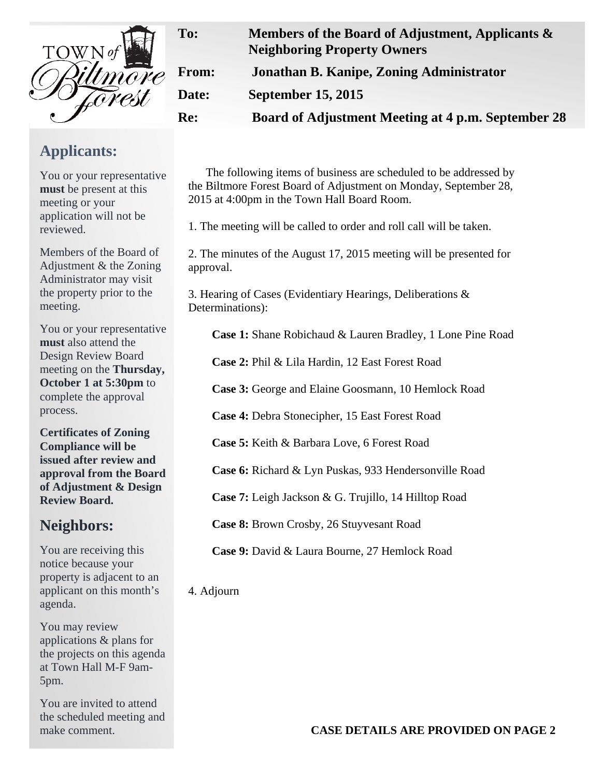

## **From: Jonathan B. Kanipe, Zoning Administrator Date: September 15, 2015 Re: Board of Adjustment Meeting at 4 p.m. September 28**

The following items of business are scheduled to be addressed by the Biltmore Forest Board of Adjustment on Monday, September 28, 2015 at 4:00pm in the Town Hall Board Room.

**To: Members of the Board of Adjustment, Applicants &** 

1. The meeting will be called to order and roll call will be taken.

2. The minutes of the August 17, 2015 meeting will be presented for approval.

3. Hearing of Cases (Evidentiary Hearings, Deliberations & Determinations):

**Case 1:** Shane Robichaud & Lauren Bradley, 1 Lone Pine Road

**Case 2:** Phil & Lila Hardin, 12 East Forest Road

**Case 3:** George and Elaine Goosmann, 10 Hemlock Road

**Case 4:** Debra Stonecipher, 15 East Forest Road

**Case 5:** Keith & Barbara Love, 6 Forest Road

**Case 6:** Richard & Lyn Puskas, 933 Hendersonville Road

**Case 7:** Leigh Jackson & G. Trujillo, 14 Hilltop Road

**Case 8:** Brown Crosby, 26 Stuyvesant Road

**Case 9:** David & Laura Bourne, 27 Hemlock Road

4. Adjourn

**Neighboring Property Owners** 

**CASE DETAILS ARE PROVIDED ON PAGE 2** 

**Applicants:** 

You or your representative **must** be present at this meeting or your application will not be reviewed.

Members of the Board of Adjustment & the Zoning Administrator may visit the property prior to the meeting.

You or your representative **must** also attend the Design Review Board meeting on the **Thursday, October 1 at 5:30pm** to complete the approval process.

**Certificates of Zoning Compliance will be issued after review and approval from the Board of Adjustment & Design Review Board.** 

## **Neighbors:**

You are receiving this notice because your property is adjacent to an applicant on this month's agenda.

You may review applications & plans for the projects on this agenda at Town Hall M-F 9am-5pm.

You are invited to attend the scheduled meeting and make comment.